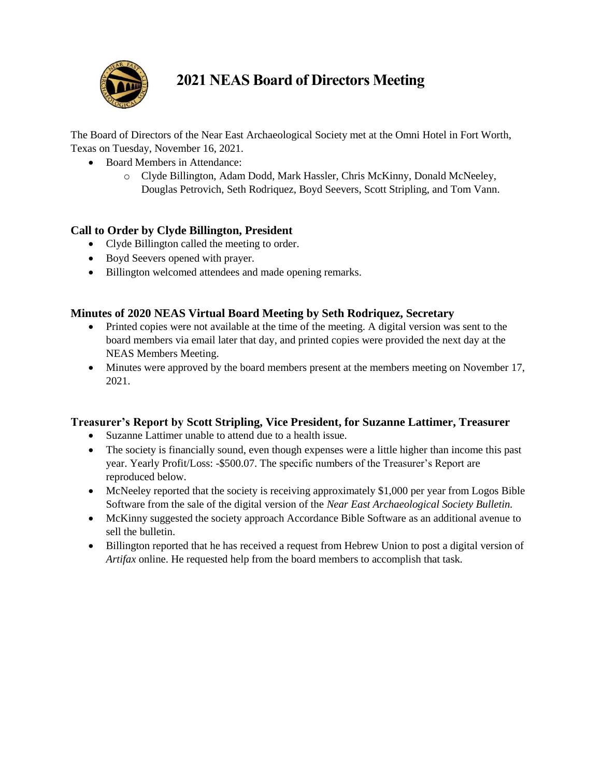

## **2021 NEAS Board of Directors Meeting**

The Board of Directors of the Near East Archaeological Society met at the Omni Hotel in Fort Worth, Texas on Tuesday, November 16, 2021.

- Board Members in Attendance:
	- o Clyde Billington, Adam Dodd, Mark Hassler, Chris McKinny, Donald McNeeley, Douglas Petrovich, Seth Rodriquez, Boyd Seevers, Scott Stripling, and Tom Vann.

## **Call to Order by Clyde Billington, President**

- Clyde Billington called the meeting to order.
- Boyd Seevers opened with prayer.
- Billington welcomed attendees and made opening remarks.

### **Minutes of 2020 NEAS Virtual Board Meeting by Seth Rodriquez, Secretary**

- Printed copies were not available at the time of the meeting. A digital version was sent to the board members via email later that day, and printed copies were provided the next day at the NEAS Members Meeting.
- Minutes were approved by the board members present at the members meeting on November 17, 2021.

### **Treasurer's Report by Scott Stripling, Vice President, for Suzanne Lattimer, Treasurer**

- Suzanne Lattimer unable to attend due to a health issue.
- The society is financially sound, even though expenses were a little higher than income this past year. Yearly Profit/Loss: -\$500.07. The specific numbers of the Treasurer's Report are reproduced below.
- McNeeley reported that the society is receiving approximately \$1,000 per year from Logos Bible Software from the sale of the digital version of the *Near East Archaeological Society Bulletin.*
- McKinny suggested the society approach Accordance Bible Software as an additional avenue to sell the bulletin.
- Billington reported that he has received a request from Hebrew Union to post a digital version of *Artifax* online. He requested help from the board members to accomplish that task.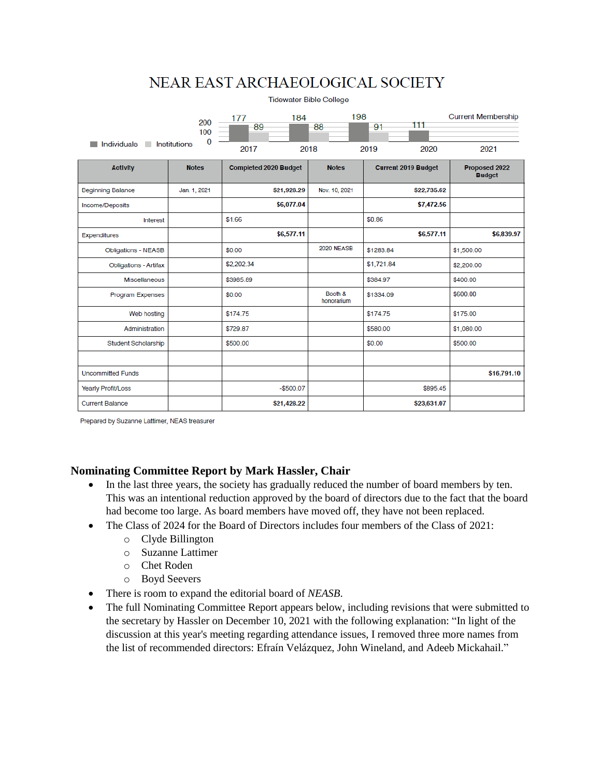# NEAR EAST ARCHAEOLOGICAL SOCIETY

| <b>Tidewater Bible College</b> |                            |                              |                       |                            |                                |  |
|--------------------------------|----------------------------|------------------------------|-----------------------|----------------------------|--------------------------------|--|
|                                | 200<br>100<br>$\mathbf{0}$ | 184<br>177<br>89             | 198<br>88             | 111<br>91                  | <b>Current Membership</b>      |  |
| Individuals<br>Institutions    |                            | 2017                         | 2018                  | 2019<br>2020               | 2021                           |  |
| <b>Activity</b>                | <b>Notes</b>               | <b>Completed 2020 Budget</b> | <b>Notes</b>          | <b>Current 2019 Budget</b> | Proposed 2022<br><b>Budget</b> |  |
| <b>Beginning Balance</b>       | Jan. 1, 2021               | \$21,928.29                  | Nov. 10, 2021         | \$22,735.62                |                                |  |
| Income/Deposits                |                            | \$6,077.04                   |                       | \$7,472.56                 |                                |  |
| Interest                       |                            | \$1.66                       |                       | \$0.86                     |                                |  |
| Expenditures                   |                            | \$6,577.11                   |                       | \$6,577.11                 | \$6,839.97                     |  |
| <b>Obligations - NEASB</b>     |                            | \$0.00                       | 2020 NEASB            | \$1283.84                  | \$1,500.00                     |  |
| <b>Obligations - Artifax</b>   |                            | \$2,202.34                   |                       | \$1,721.84                 | \$2,200.00                     |  |
| <b>Miscellaneous</b>           |                            | \$3985.89                    |                       | \$384.97                   | \$400.00                       |  |
| <b>Program Expenses</b>        |                            | \$0.00                       | Booth &<br>honorarium | \$1334.09                  | \$600.00                       |  |
| Web hosting                    |                            | \$174.75                     |                       | \$174.75                   | \$175.00                       |  |
| Administration                 |                            | \$729.87                     |                       | \$580.00                   | \$1,080.00                     |  |
| Student Scholarship            |                            | \$500.00                     |                       | \$0.00                     | \$500.00                       |  |
|                                |                            |                              |                       |                            |                                |  |
| <b>Uncommitted Funds</b>       |                            |                              |                       |                            | \$16,791.10                    |  |
| <b>Yearly Profit/Loss</b>      |                            | $-$500.07$                   |                       | \$895.45                   |                                |  |
| <b>Current Balance</b>         |                            | \$21,428.22                  |                       | \$23,631.07                |                                |  |

Prepared by Suzanne Lattimer, NEAS treasurer

### **Nominating Committee Report by Mark Hassler, Chair**

- In the last three years, the society has gradually reduced the number of board members by ten. This was an intentional reduction approved by the board of directors due to the fact that the board had become too large. As board members have moved off, they have not been replaced.
- The Class of 2024 for the Board of Directors includes four members of the Class of 2021:
	- o Clyde Billington
	- o Suzanne Lattimer
	- o Chet Roden
	- o Boyd Seevers
- There is room to expand the editorial board of *NEASB*.
- The full Nominating Committee Report appears below, including revisions that were submitted to the secretary by Hassler on December 10, 2021 with the following explanation: "In light of the discussion at this year's meeting regarding attendance issues, I removed three more names from the list of recommended directors: Efraín Velázquez, John Wineland, and Adeeb Mickahail."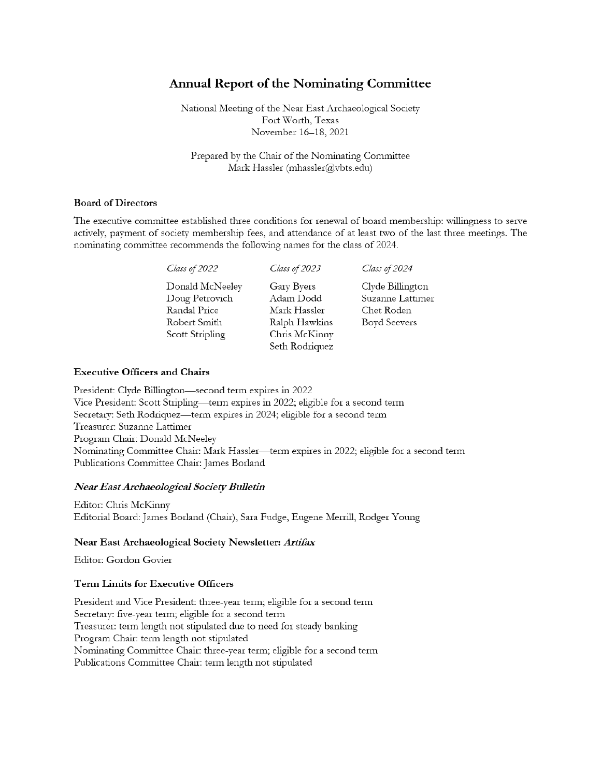### **Annual Report of the Nominating Committee**

National Meeting of the Near East Archaeological Society Fort Worth, Texas November 16-18, 2021

Prepared by the Chair of the Nominating Committee Mark Hassler (mhassler@vbts.edu)

#### **Board of Directors**

The executive committee established three conditions for renewal of board membership: willingness to serve actively, payment of society membership fees, and attendance of at least two of the last three meetings. The nominating committee recommends the following names for the class of 2024.

| Class of 2022                                                                        | Class of 2023                                                                               | Class of 2024                                                      |
|--------------------------------------------------------------------------------------|---------------------------------------------------------------------------------------------|--------------------------------------------------------------------|
| Donald McNeeley<br>Doug Petrovich<br>Randal Price<br>Robert Smith<br>Scott Stripling | Gary Byers<br>Adam Dodd<br>Mark Hassler<br>Ralph Hawkins<br>Chris McKinny<br>Seth Rodriquez | Clyde Billington<br>Suzanne Lattimer<br>Chet Roden<br>Boyd Seevers |
|                                                                                      |                                                                                             |                                                                    |

#### **Executive Officers and Chairs**

President: Clyde Billington—second term expires in 2022 Vice President: Scott Stripling—term expires in 2022; eligible for a second term Secretary: Seth Rodriquez—term expires in 2024; eligible for a second term Treasurer: Suzanne Lattimer Program Chair: Donald McNeeley Nominating Committee Chair: Mark Hassler—term expires in 2022; eligible for a second term Publications Committee Chair: James Borland

#### Near East Archaeological Society Bulletin

Editor: Chris McKinny Editorial Board: James Borland (Chair), Sara Fudge, Eugene Merrill, Rodger Young

#### Near East Archaeological Society Newsletter: Artifax

Editor: Gordon Govier

#### **Term Limits for Executive Officers**

President and Vice President: three-year term; eligible for a second term Secretary: five-year term; eligible for a second term Treasurer: term length not stipulated due to need for steady banking Program Chair: term length not stipulated Nominating Committee Chair: three-year term; eligible for a second term Publications Committee Chair: term length not stipulated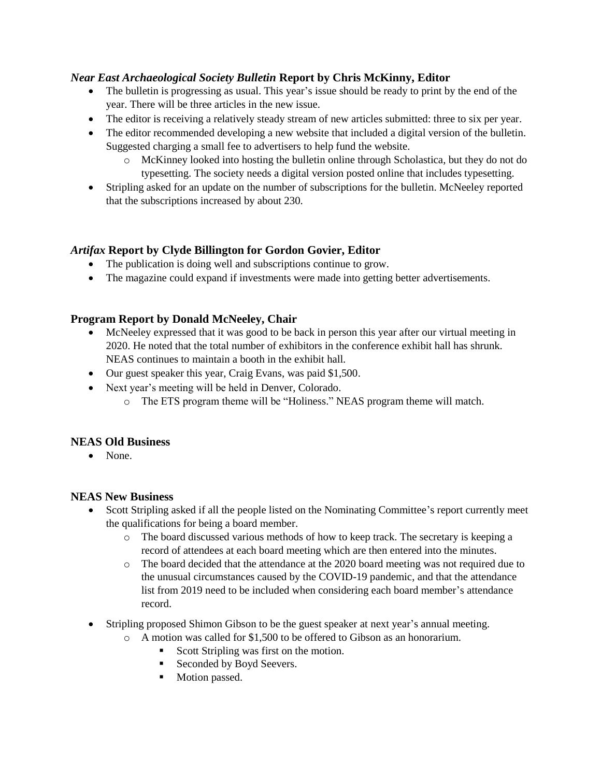### *Near East Archaeological Society Bulletin* **Report by Chris McKinny, Editor**

- The bulletin is progressing as usual. This year's issue should be ready to print by the end of the year. There will be three articles in the new issue.
- The editor is receiving a relatively steady stream of new articles submitted: three to six per year.
- The editor recommended developing a new website that included a digital version of the bulletin. Suggested charging a small fee to advertisers to help fund the website.
	- o McKinney looked into hosting the bulletin online through Scholastica, but they do not do typesetting. The society needs a digital version posted online that includes typesetting.
- Stripling asked for an update on the number of subscriptions for the bulletin. McNeeley reported that the subscriptions increased by about 230.

### *Artifax* **Report by Clyde Billington for Gordon Govier, Editor**

- The publication is doing well and subscriptions continue to grow.
- The magazine could expand if investments were made into getting better advertisements.

### **Program Report by Donald McNeeley, Chair**

- McNeeley expressed that it was good to be back in person this year after our virtual meeting in 2020. He noted that the total number of exhibitors in the conference exhibit hall has shrunk. NEAS continues to maintain a booth in the exhibit hall.
- Our guest speaker this year, Craig Evans, was paid \$1,500.
- Next year's meeting will be held in Denver, Colorado.
	- o The ETS program theme will be "Holiness." NEAS program theme will match.

### **NEAS Old Business**

• None.

### **NEAS New Business**

- Scott Stripling asked if all the people listed on the Nominating Committee's report currently meet the qualifications for being a board member.
	- o The board discussed various methods of how to keep track. The secretary is keeping a record of attendees at each board meeting which are then entered into the minutes.
	- o The board decided that the attendance at the 2020 board meeting was not required due to the unusual circumstances caused by the COVID-19 pandemic, and that the attendance list from 2019 need to be included when considering each board member's attendance record.
- Stripling proposed Shimon Gibson to be the guest speaker at next year's annual meeting.
	- o A motion was called for \$1,500 to be offered to Gibson as an honorarium.
		- Scott Stripling was first on the motion.
		- Seconded by Boyd Seevers.
		- **Motion passed.**